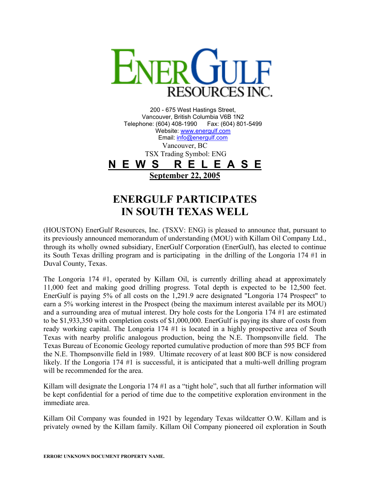

200 - 675 West Hastings Street, Vancouver, British Columbia V6B 1N2 Telephone: (604) 408-1990 Fax: (604) 801-5499 Website: [www.energulf.com](http://www.energulf.com/) Email: [info@energulf.com](mailto:info@energulf.com) Vancouver, BC TSX Trading Symbol: ENG **N E W S R E L E A S E September 22, 2005**

## **ENERGULF PARTICIPATES IN SOUTH TEXAS WELL**

(HOUSTON) EnerGulf Resources, Inc. (TSXV: ENG) is pleased to announce that, pursuant to its previously announced memorandum of understanding (MOU) with Killam Oil Company Ltd., through its wholly owned subsidiary, EnerGulf Corporation (EnerGulf), has elected to continue its South Texas drilling program and is participating in the drilling of the Longoria 174 #1 in Duval County, Texas.

The Longoria 174 #1, operated by Killam Oil, is currently drilling ahead at approximately 11,000 feet and making good drilling progress. Total depth is expected to be 12,500 feet. EnerGulf is paying 5% of all costs on the 1,291.9 acre designated "Longoria 174 Prospect" to earn a 5% working interest in the Prospect (being the maximum interest available per its MOU) and a surrounding area of mutual interest. Dry hole costs for the Longoria 174 #1 are estimated to be \$1,933,350 with completion costs of \$1,000,000. EnerGulf is paying its share of costs from ready working capital. The Longoria 174 #1 is located in a highly prospective area of South Texas with nearby prolific analogous production, being the N.E. Thompsonville field. The Texas Bureau of Economic Geology reported cumulative production of more than 595 BCF from the N.E. Thompsonville field in 1989. Ultimate recovery of at least 800 BCF is now considered likely. If the Longoria 174 #1 is successful, it is anticipated that a multi-well drilling program will be recommended for the area.

Killam will designate the Longoria 174 #1 as a "tight hole", such that all further information will be kept confidential for a period of time due to the competitive exploration environment in the immediate area.

Killam Oil Company was founded in 1921 by legendary Texas wildcatter O.W. Killam and is privately owned by the Killam family. Killam Oil Company pioneered oil exploration in South